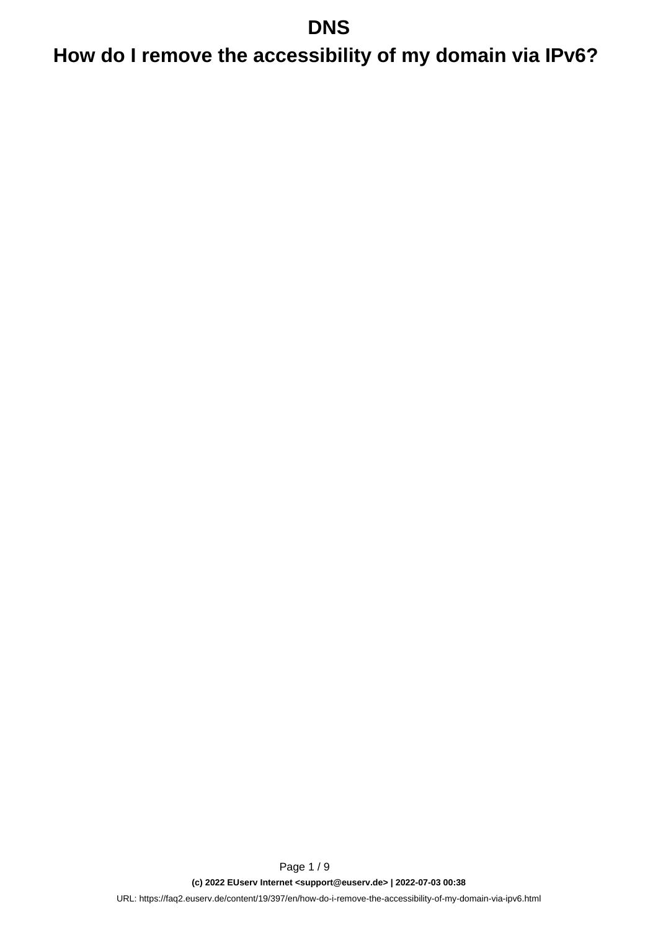# **How do I remove the accessibility of my domain via IPv6?**

Page 1 / 9 **(c) 2022 EUserv Internet <support@euserv.de> | 2022-07-03 00:38** [URL: https://faq2.euserv.de/content/19/397/en/how-do-i-remove-the-accessibility-of-my-domain-via-ipv6.html](https://faq2.euserv.de/content/19/397/en/how-do-i-remove-the-accessibility-of-my-domain-via-ipv6.html)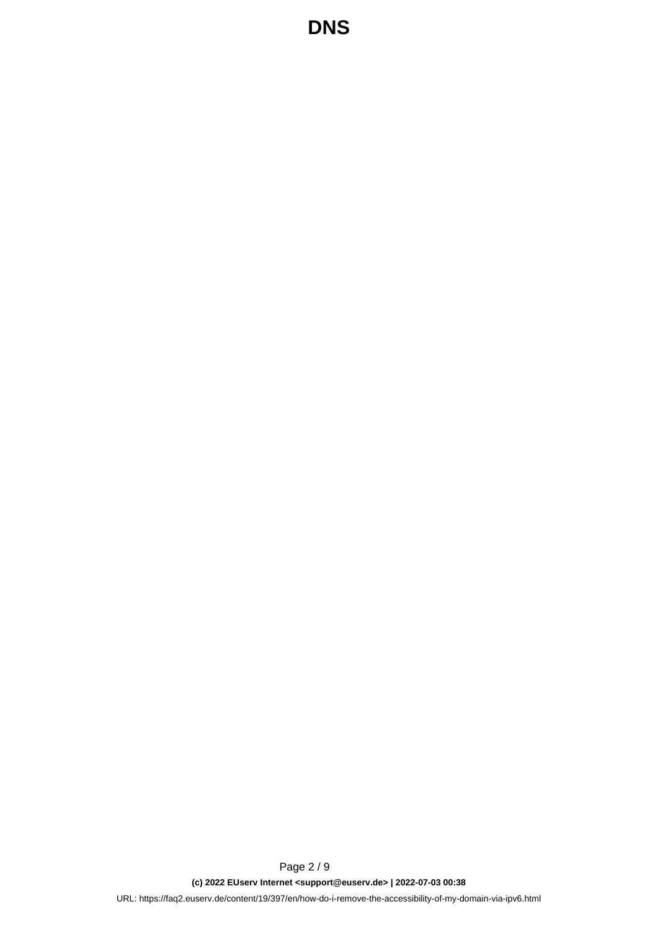Page 2 / 9 **(c) 2022 EUserv Internet <support@euserv.de> | 2022-07-03 00:38** [URL: https://faq2.euserv.de/content/19/397/en/how-do-i-remove-the-accessibility-of-my-domain-via-ipv6.html](https://faq2.euserv.de/content/19/397/en/how-do-i-remove-the-accessibility-of-my-domain-via-ipv6.html)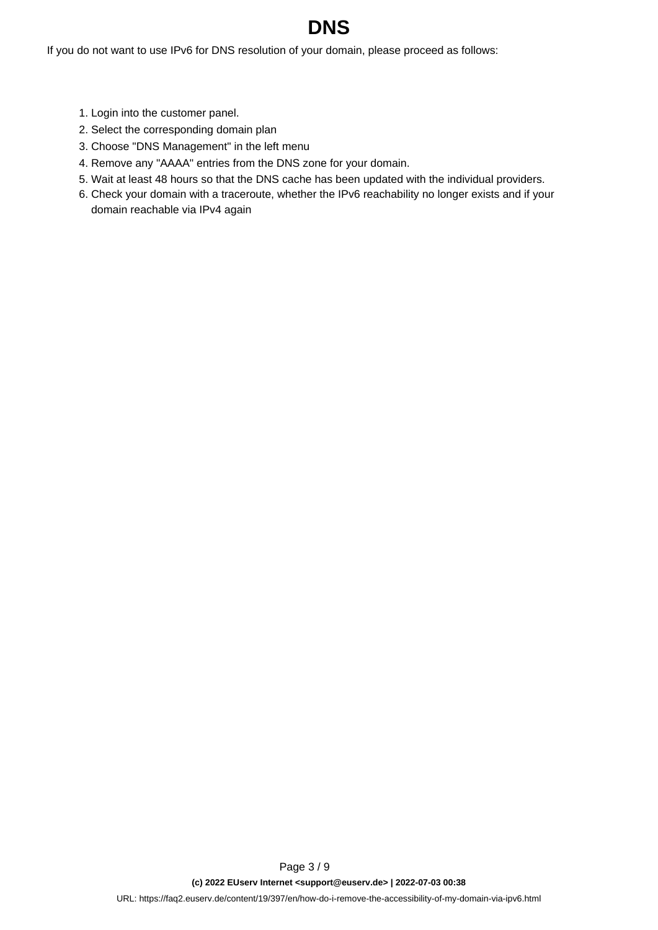If you do not want to use IPv6 for DNS resolution of your domain, please proceed as follows:

- 1. Login into the customer panel.
- 2. Select the corresponding domain plan
- 3. Choose "DNS Management" in the left menu
- 4. Remove any "AAAA" entries from the DNS zone for your domain.
- 5. Wait at least 48 hours so that the DNS cache has been updated with the individual providers.
- 6. Check your domain with a traceroute, whether the IPv6 reachability no longer exists and if your domain reachable via IPv4 again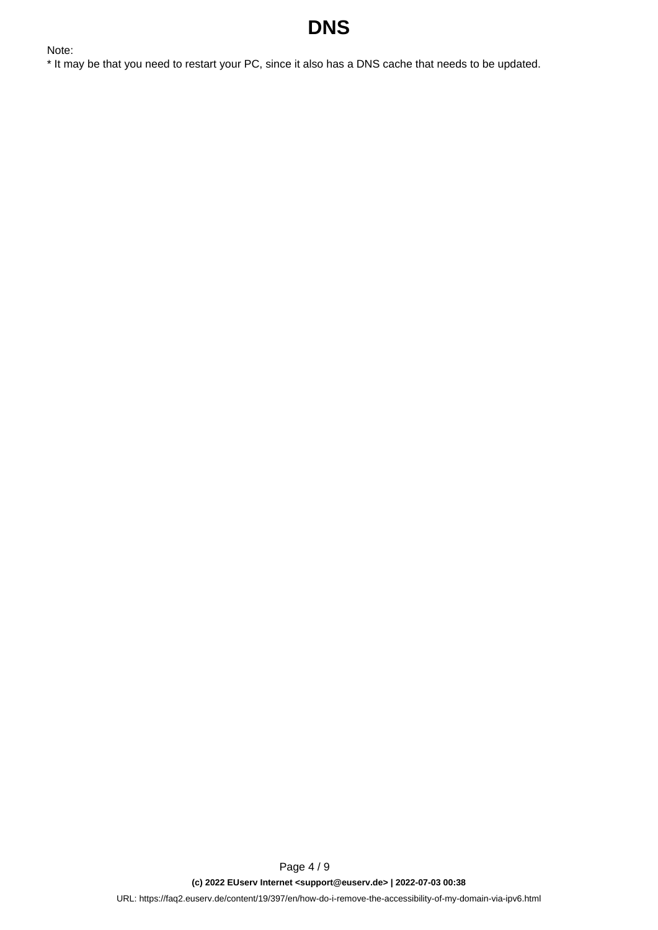#### Note:

\* It may be that you need to restart your PC, since it also has a DNS cache that needs to be updated.

Page 4 / 9 **(c) 2022 EUserv Internet <support@euserv.de> | 2022-07-03 00:38** [URL: https://faq2.euserv.de/content/19/397/en/how-do-i-remove-the-accessibility-of-my-domain-via-ipv6.html](https://faq2.euserv.de/content/19/397/en/how-do-i-remove-the-accessibility-of-my-domain-via-ipv6.html)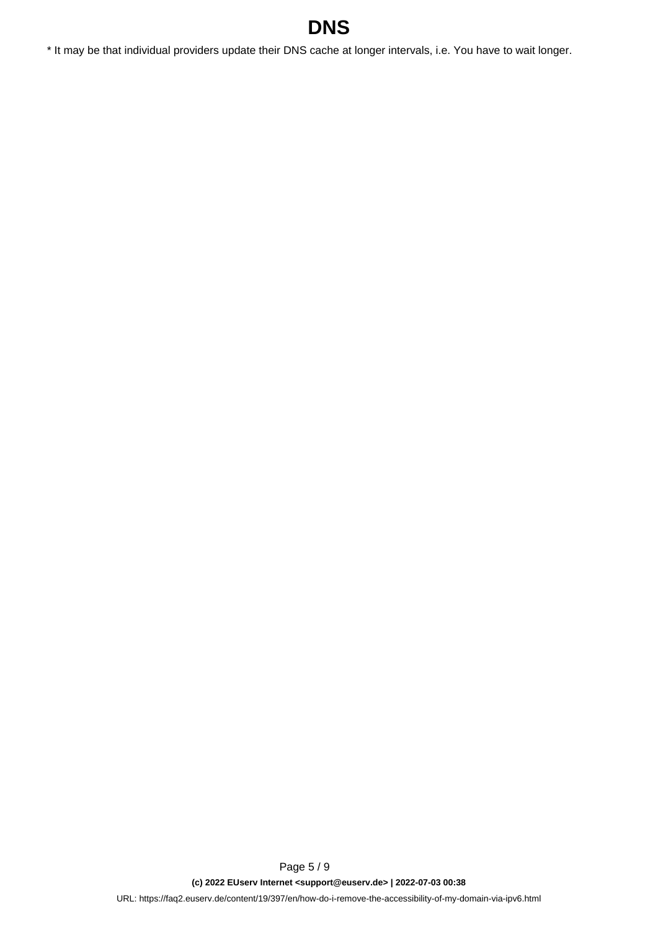\* It may be that individual providers update their DNS cache at longer intervals, i.e. You have to wait longer.

Page 5 / 9 **(c) 2022 EUserv Internet <support@euserv.de> | 2022-07-03 00:38** [URL: https://faq2.euserv.de/content/19/397/en/how-do-i-remove-the-accessibility-of-my-domain-via-ipv6.html](https://faq2.euserv.de/content/19/397/en/how-do-i-remove-the-accessibility-of-my-domain-via-ipv6.html)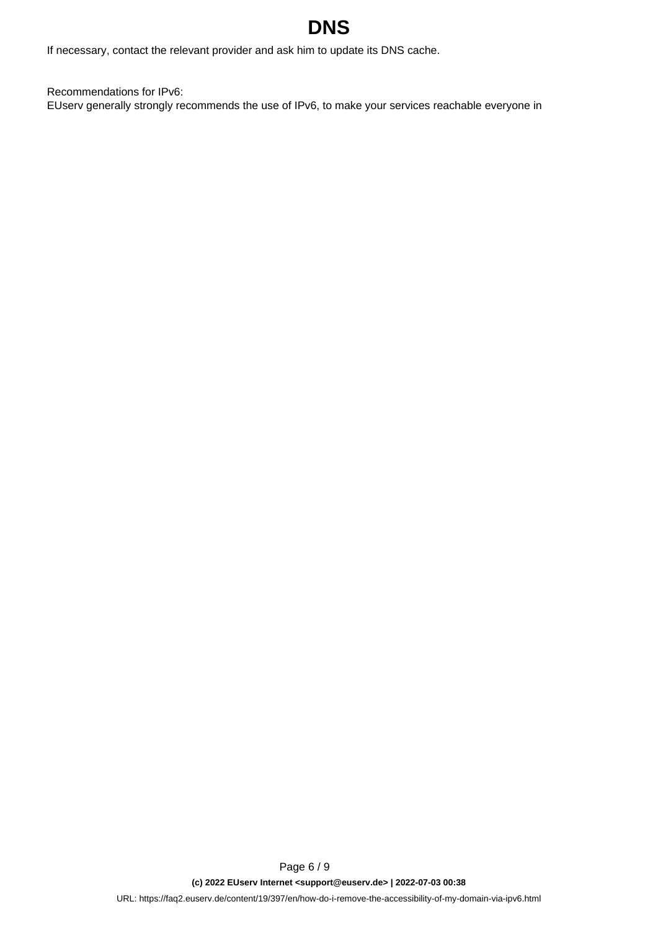If necessary, contact the relevant provider and ask him to update its DNS cache.

Recommendations for IPv6:

EUserv generally strongly recommends the use of IPv6, to make your services reachable everyone in

Page 6 / 9 **(c) 2022 EUserv Internet <support@euserv.de> | 2022-07-03 00:38** [URL: https://faq2.euserv.de/content/19/397/en/how-do-i-remove-the-accessibility-of-my-domain-via-ipv6.html](https://faq2.euserv.de/content/19/397/en/how-do-i-remove-the-accessibility-of-my-domain-via-ipv6.html)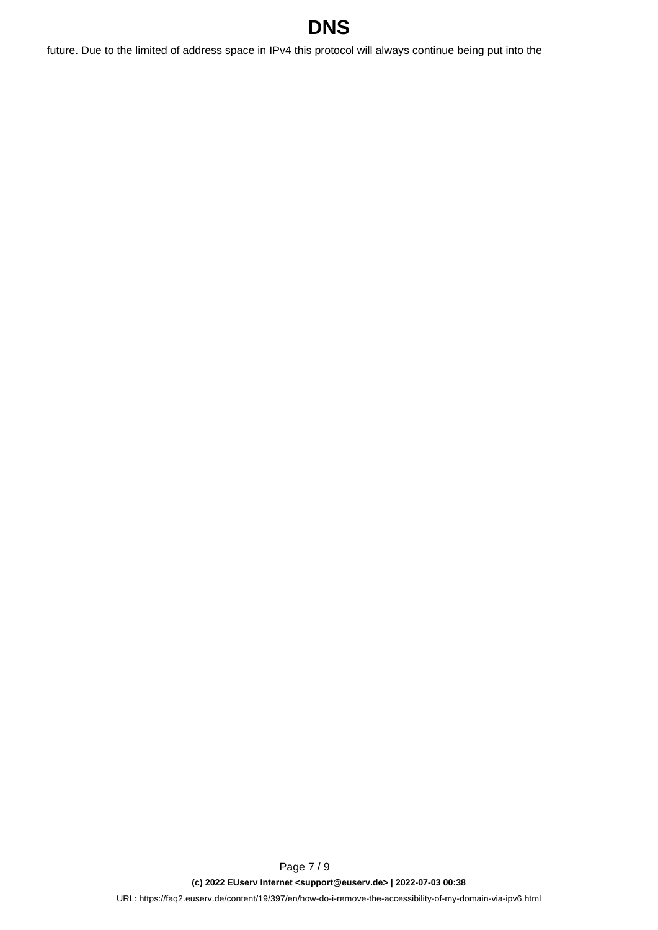future. Due to the limited of address space in IPv4 this protocol will always continue being put into the

Page 7 / 9 **(c) 2022 EUserv Internet <support@euserv.de> | 2022-07-03 00:38** [URL: https://faq2.euserv.de/content/19/397/en/how-do-i-remove-the-accessibility-of-my-domain-via-ipv6.html](https://faq2.euserv.de/content/19/397/en/how-do-i-remove-the-accessibility-of-my-domain-via-ipv6.html)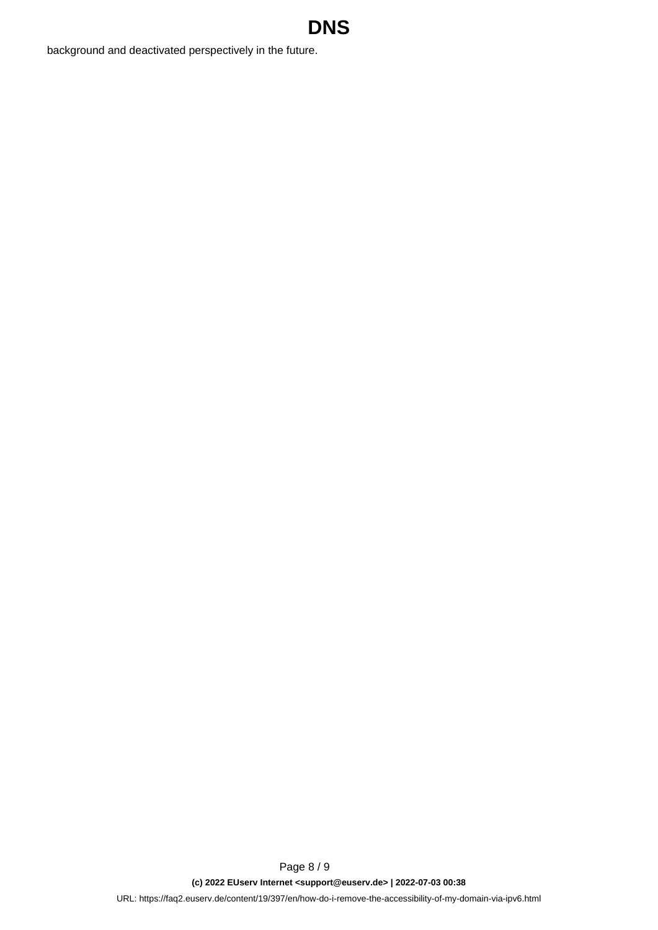background and deactivated perspectively in the future.

Page 8 / 9 **(c) 2022 EUserv Internet <support@euserv.de> | 2022-07-03 00:38** [URL: https://faq2.euserv.de/content/19/397/en/how-do-i-remove-the-accessibility-of-my-domain-via-ipv6.html](https://faq2.euserv.de/content/19/397/en/how-do-i-remove-the-accessibility-of-my-domain-via-ipv6.html)